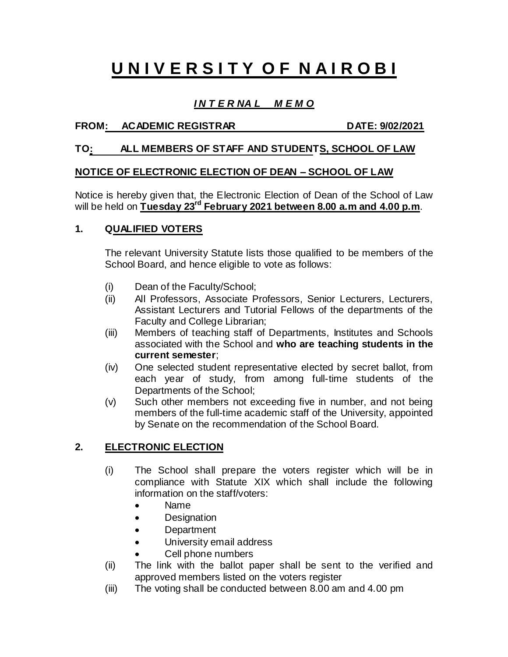# **U N I V E R S I T Y O F N A I R O B I**

# *I N T E R NA L M E M O*

## FROM: ACADEMIC REGISTRAR DATE: 9/02/2021

## **TO: ALL MEMBERS OF STAFF AND STUDENTS, SCHOOL OF LAW**

## **NOTICE OF ELECTRONIC ELECTION OF DEAN – SCHOOL OF LAW**

Notice is hereby given that, the Electronic Election of Dean of the School of Law will be held on **Tuesday 23 rd February 2021 between 8.00 a.m and 4.00 p.m**.

## **1. QUALIFIED VOTERS**

The relevant University Statute lists those qualified to be members of the School Board, and hence eligible to vote as follows:

- (i) Dean of the Faculty/School;
- (ii) All Professors, Associate Professors, Senior Lecturers, Lecturers, Assistant Lecturers and Tutorial Fellows of the departments of the Faculty and College Librarian;
- (iii) Members of teaching staff of Departments, Institutes and Schools associated with the School and **who are teaching students in the current semester**;
- (iv) One selected student representative elected by secret ballot, from each year of study, from among full-time students of the Departments of the School;
- (v) Such other members not exceeding five in number, and not being members of the full-time academic staff of the University, appointed by Senate on the recommendation of the School Board.

# **2. ELECTRONIC ELECTION**

- (i) The School shall prepare the voters register which will be in compliance with Statute XIX which shall include the following information on the staff/voters:
	- Name
	- Designation
	- Department
	- University email address
	- Cell phone numbers
- (ii) The link with the ballot paper shall be sent to the verified and approved members listed on the voters register
- (iii) The voting shall be conducted between 8.00 am and 4.00 pm